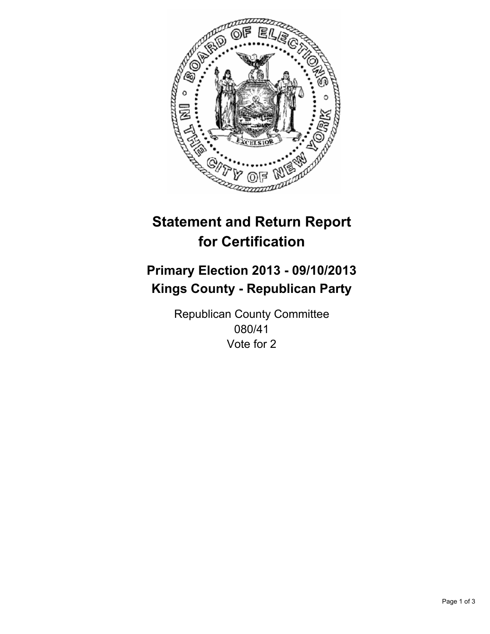

# **Statement and Return Report for Certification**

# **Primary Election 2013 - 09/10/2013 Kings County - Republican Party**

Republican County Committee 080/41 Vote for 2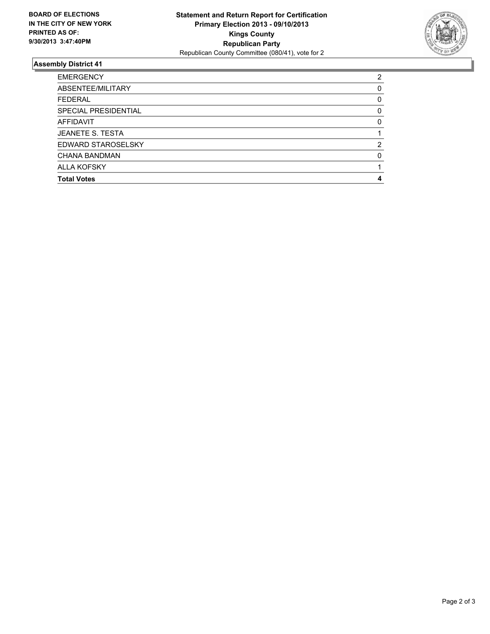

## **Assembly District 41**

| <b>EMERGENCY</b>        | 2        |
|-------------------------|----------|
| ABSENTEE/MILITARY       | 0        |
| <b>FEDERAL</b>          | 0        |
| SPECIAL PRESIDENTIAL    | 0        |
| AFFIDAVIT               | $\Omega$ |
| <b>JEANETE S. TESTA</b> |          |
| EDWARD STAROSELSKY      | 2        |
| CHANA BANDMAN           | O        |
| <b>ALLA KOFSKY</b>      |          |
| <b>Total Votes</b>      | Δ        |